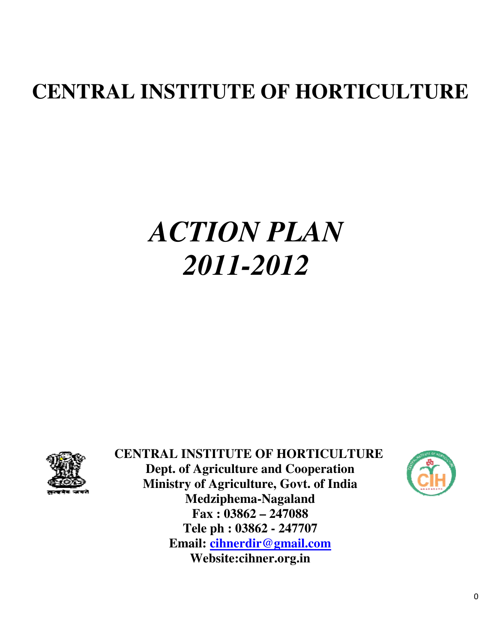# **CENTRAL INSTITUTE OF HORTICULTURE**

# *ACTION PLAN 2011 2011-2012*



 **CENTRAL INSTITUTE OF HORTICULTURE Dept. of Agriculture and Cooperation Ministry of Agriculture, Govt. of India Medziphema Tele ph : 03862 - 247707 Email: cihnerdir@gmail.com TRAL INSTITUTE OF HORTICULT<br>Dept. of Agriculture and Cooperation<br>Ministry of Agriculture, Govt. of India<br>Medziphema-Nagaland Fax : 03862 – 247088 Website:cihner.org.in**

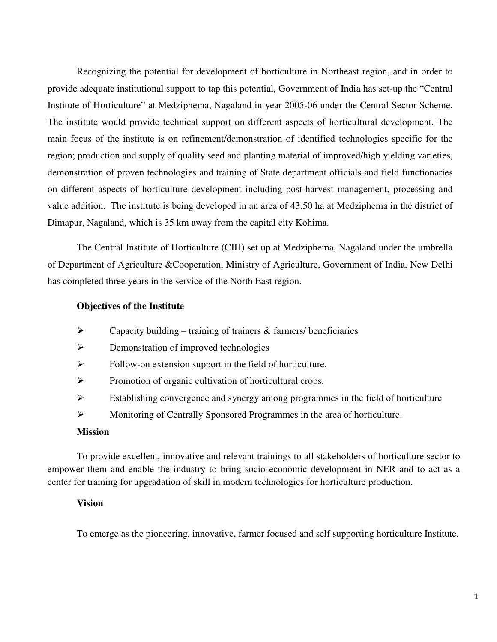Recognizing the potential for development of horticulture in Northeast region, and in order to provide adequate institutional support to tap this potential, Government of India has set-up the "Central Institute of Horticulture" at Medziphema, Nagaland in year 2005-06 under the Central Sector Scheme. The institute would provide technical support on different aspects of horticultural development. The main focus of the institute is on refinement/demonstration of identified technologies specific for the region; production and supply of quality seed and planting material of improved/high yielding varieties, demonstration of proven technologies and training of State department officials and field functionaries on different aspects of horticulture development including post-harvest management, processing and value addition. The institute is being developed in an area of 43.50 ha at Medziphema in the district of Dimapur, Nagaland, which is 35 km away from the capital city Kohima.

The Central Institute of Horticulture (CIH) set up at Medziphema, Nagaland under the umbrella of Department of Agriculture &Cooperation, Ministry of Agriculture, Government of India, New Delhi has completed three years in the service of the North East region.

#### **Objectives of the Institute**

- $\triangleright$  Capacity building training of trainers & farmers/ beneficiaries
- **EXECUTE:** Demonstration of improved technologies
- $\triangleright$  Follow-on extension support in the field of horticulture.
- Promotion of organic cultivation of horticultural crops.
- $\triangleright$  Establishing convergence and synergy among programmes in the field of horticulture
- Monitoring of Centrally Sponsored Programmes in the area of horticulture.

#### **Mission**

To provide excellent, innovative and relevant trainings to all stakeholders of horticulture sector to empower them and enable the industry to bring socio economic development in NER and to act as a center for training for upgradation of skill in modern technologies for horticulture production.

#### **Vision**

To emerge as the pioneering, innovative, farmer focused and self supporting horticulture Institute.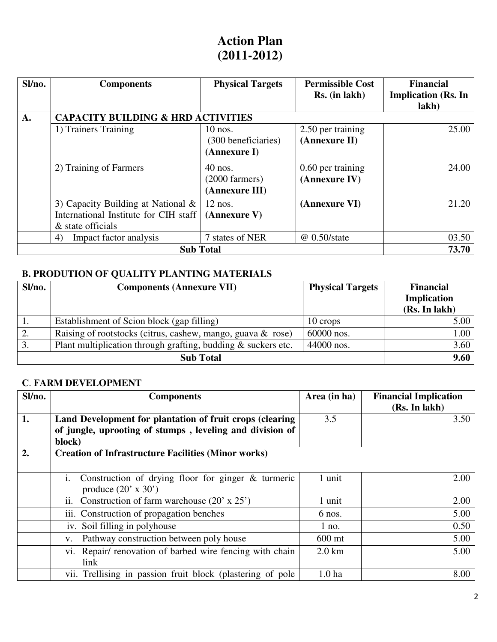# **Action Plan (2011-2012)**

| Sl/no. | <b>Components</b>                             | <b>Physical Targets</b>  | <b>Permissible Cost</b><br>Rs. (in lakh) | <b>Financial</b><br><b>Implication (Rs. In</b> |
|--------|-----------------------------------------------|--------------------------|------------------------------------------|------------------------------------------------|
|        |                                               |                          |                                          | lakh)                                          |
| A.     | <b>CAPACITY BUILDING &amp; HRD ACTIVITIES</b> |                          |                                          |                                                |
|        | 1) Trainers Training                          | $10$ nos.                | 2.50 per training                        | 25.00                                          |
|        |                                               | (300 beneficiaries)      | (Annexure II)                            |                                                |
|        |                                               | (Annexure I)             |                                          |                                                |
|        | 2) Training of Farmers                        | $40$ nos.                | 0.60 per training                        | 24.00                                          |
|        |                                               | $(2000 \text{ farmers})$ | (Annexure IV)                            |                                                |
|        |                                               | (Annexure III)           |                                          |                                                |
|        | 3) Capacity Building at National $\&$         | $12$ nos.                | (Annexure VI)                            | 21.20                                          |
|        | International Institute for CIH staff         | (Annexure V)             |                                          |                                                |
|        | & state officials                             |                          |                                          |                                                |
|        | Impact factor analysis<br>4)                  | 7 states of NER          | $@$ 0.50/state                           | 03.50                                          |
|        | <b>Sub Total</b>                              |                          |                                          | 73.70                                          |

## **B. PRODUTION OF QUALITY PLANTING MATERIALS**

| Sl/no. | <b>Components (Annexure VII)</b>                              | <b>Physical Targets</b> | <b>Financial</b>   |
|--------|---------------------------------------------------------------|-------------------------|--------------------|
|        |                                                               |                         | <b>Implication</b> |
|        |                                                               |                         | (Rs. In lakh)      |
|        | Establishment of Scion block (gap filling)                    | 10 crops                | 5.00               |
| 2.     | Raising of rootstocks (citrus, cashew, mango, guava & rose)   | 60000 nos.              | 1.00               |
| 3.     | Plant multiplication through grafting, budding & suckers etc. | 44000 nos.              | 3.60               |
|        | <b>Sub Total</b>                                              |                         | 9.60               |

#### **C**. **FARM DEVELOPMENT**

| Sl/no.           | <b>Components</b>                                                                                                              | Area (in ha)      | <b>Financial Implication</b><br>(Rs. In lakh) |
|------------------|--------------------------------------------------------------------------------------------------------------------------------|-------------------|-----------------------------------------------|
| 1.               | Land Development for plantation of fruit crops (clearing<br>of jungle, uprooting of stumps, leveling and division of<br>block) | 3.5               | 3.50                                          |
| $\overline{2}$ . | <b>Creation of Infrastructure Facilities (Minor works)</b>                                                                     |                   |                                               |
|                  | Construction of drying floor for ginger $\&$ turmeric<br>1.<br>produce $(20' \times 30')$                                      | 1 unit            | 2.00                                          |
|                  | Construction of farm warehouse $(20' \times 25')$<br>11.                                                                       | 1 unit            | 2.00                                          |
|                  | iii. Construction of propagation benches                                                                                       | 6 nos.            | 5.00                                          |
|                  | iv. Soil filling in polyhouse                                                                                                  | $1$ no.           | 0.50                                          |
|                  | Pathway construction between poly house<br>$V_{\bullet}$                                                                       | 600 mt            | 5.00                                          |
|                  | vi. Repair/ renovation of barbed wire fencing with chain<br>link                                                               | $2.0 \mathrm{km}$ | 5.00                                          |
|                  | vii. Trellising in passion fruit block (plastering of pole                                                                     | 1.0 <sub>ha</sub> | 8.00                                          |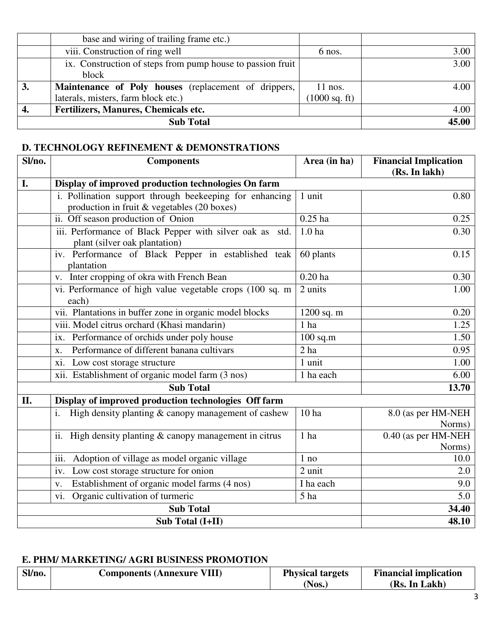|    | base and wiring of trailing frame etc.)                    |                         |       |
|----|------------------------------------------------------------|-------------------------|-------|
|    | viii. Construction of ring well                            | 6 nos.                  | 3.00  |
|    | ix. Construction of steps from pump house to passion fruit |                         | 3.00  |
|    | block                                                      |                         |       |
| 3. | Maintenance of Poly houses (replacement of drippers,       | $11$ nos.               | 4.00  |
|    | laterals, misters, farm block etc.)                        | $(1000 \text{ sq. ft})$ |       |
|    | Fertilizers, Manures, Chemicals etc.                       |                         | 4.00  |
|    | <b>Sub Total</b>                                           |                         | 45.00 |

#### **D. TECHNOLOGY REFINEMENT & DEMONSTRATIONS**

| Sl/no. | <b>Components</b>                                                                         | Area (in ha)      | <b>Financial Implication</b>   |
|--------|-------------------------------------------------------------------------------------------|-------------------|--------------------------------|
|        |                                                                                           |                   | (Rs. In lakh)                  |
| I.     | Display of improved production technologies On farm                                       |                   |                                |
|        | i. Pollination support through beekeeping for enhancing                                   | 1 unit            | 0.80                           |
|        | production in fruit & vegetables (20 boxes)                                               |                   |                                |
|        | ii. Off season production of Onion                                                        | $0.25$ ha         | 0.25                           |
|        | iii. Performance of Black Pepper with silver oak as std.<br>plant (silver oak plantation) | 1.0 <sub>ha</sub> | 0.30                           |
|        | iv. Performance of Black Pepper in established teak<br>plantation                         | 60 plants         | 0.15                           |
|        | v. Inter cropping of okra with French Bean                                                | $0.20$ ha         | 0.30                           |
|        | vi. Performance of high value vegetable crops (100 sq. m<br>each)                         | 2 units           | 1.00                           |
|        | vii. Plantations in buffer zone in organic model blocks                                   | 1200 sq. m        | 0.20                           |
|        | viii. Model citrus orchard (Khasi mandarin)                                               | 1 ha              | 1.25                           |
|        | Performance of orchids under poly house<br>ix.                                            | $100$ sq.m        | 1.50                           |
|        | Performance of different banana cultivars<br>X.                                           | 2 <sub>ha</sub>   | 0.95                           |
|        | xi. Low cost storage structure                                                            | 1 unit            | 1.00                           |
|        | xii. Establishment of organic model farm (3 nos)                                          | 1 ha each         | 6.00                           |
|        | <b>Sub Total</b>                                                                          |                   | 13.70                          |
| II.    | Display of improved production technologies Off farm                                      |                   |                                |
|        | High density planting $\&$ canopy management of cashew<br>i.                              | 10 ha             | 8.0 (as per HM-NEH)<br>Norms)  |
|        | High density planting $&$ canopy management in citrus<br>$\overline{\mathbf{11}}$ .       | 1 ha              | 0.40 (as per HM-NEH)<br>Norms) |
|        | Adoption of village as model organic village<br>iii.                                      | $1$ no            | 10.0                           |
|        | Low cost storage structure for onion<br>iv.                                               | 2 unit            | 2.0                            |
|        | Establishment of organic model farms (4 nos)<br>V.                                        | I ha each         | 9.0                            |
|        | vi. Organic cultivation of turmeric                                                       | 5 ha              | 5.0                            |
|        | <b>Sub Total</b>                                                                          |                   | 34.40                          |
|        | Sub Total (I+II)                                                                          |                   | 48.10                          |

#### **E. PHM/ MARKETING/ AGRI BUSINESS PROMOTION**

| Sl/no. | <b>Components (Annexure VIII)</b> | <b>Physical targets</b><br>Nos. | <b>Financial implication</b><br>(Rs. In Lakh) |
|--------|-----------------------------------|---------------------------------|-----------------------------------------------|
|--------|-----------------------------------|---------------------------------|-----------------------------------------------|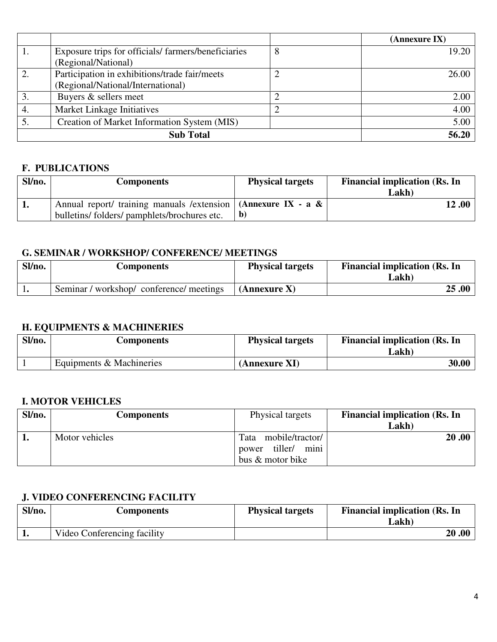|    |                                                    |   | (Annexure IX) |
|----|----------------------------------------------------|---|---------------|
|    | Exposure trips for officials/farmers/beneficiaries | 8 | 19.20         |
|    | (Regional/National)                                |   |               |
| 2. | Participation in exhibitions/trade fair/meets      | ∠ | 26.00         |
|    | (Regional/National/International)                  |   |               |
|    | Buyers & sellers meet                              |   | 2.00          |
| 4. | Market Linkage Initiatives                         |   | 4.00          |
|    | Creation of Market Information System (MIS)        |   | 5.00          |
|    | <b>Sub Total</b>                                   |   | 56.20         |

#### **F. PUBLICATIONS**

| Sl/no. | Components                                                         | <b>Physical targets</b> | <b>Financial implication (Rs. In</b> |
|--------|--------------------------------------------------------------------|-------------------------|--------------------------------------|
|        |                                                                    |                         | Lakh)                                |
| Л.     | Annual report/ training manuals /extension   (Annexure IX - a $\&$ |                         | 12 .00                               |
|        | bulletins/folders/pamphlets/brochures etc.                         | - b                     |                                      |

#### **G. SEMINAR / WORKSHOP/ CONFERENCE/ MEETINGS**

| Sl/no. | Components                               | <b>Physical targets</b> | <b>Financial implication (Rs. In</b><br>Lakh) |
|--------|------------------------------------------|-------------------------|-----------------------------------------------|
|        | Seminar / workshop/ conference/ meetings | $(An$ nexure X)         | 25.00                                         |

## **H. EQUIPMENTS & MACHINERIES**

| Sl/no. | Components               | <b>Physical targets</b> | <b>Financial implication (Rs. In</b><br>Lakh) |
|--------|--------------------------|-------------------------|-----------------------------------------------|
|        | Equipments & Machineries | (Annexure XI)           | 30.00                                         |

#### **I. MOTOR VEHICLES**

| Sl/no. | <b>Components</b> | Physical targets                                                        | <b>Financial implication (Rs. In</b> |
|--------|-------------------|-------------------------------------------------------------------------|--------------------------------------|
|        |                   |                                                                         | Lakh)                                |
|        | Motor vehicles    | mobile/tractor/<br>Tata<br>mini<br>tiller/<br>power<br>bus & motor bike | 20.00                                |

#### **J. VIDEO CONFERENCING FACILITY**

| Sl/no. | Components                  | <b>Physical targets</b> | <b>Financial implication (Rs. In</b><br>Lakh) |
|--------|-----------------------------|-------------------------|-----------------------------------------------|
|        | Video Conferencing facility |                         | 20.00                                         |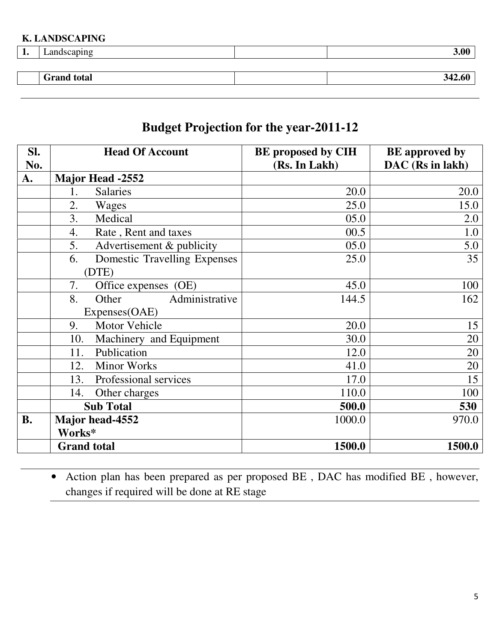#### **K. LANDSCAPING**

| ۰<br>T. | andscapıng_        | 3.00   |
|---------|--------------------|--------|
|         |                    |        |
|         | <b>Grand</b> total | 342.60 |
|         |                    |        |

# **Budget Projection for the year-2011-12**

| SI.       | <b>Head Of Account</b>                   | <b>BE</b> proposed by CIH | <b>BE</b> approved by |
|-----------|------------------------------------------|---------------------------|-----------------------|
| No.       |                                          | (Rs. In Lakh)             | DAC (Rs in lakh)      |
| A.        | <b>Major Head -2552</b>                  |                           |                       |
|           | <b>Salaries</b><br>1.                    | 20.0                      | 20.0                  |
|           | 2.<br>Wages                              | 25.0                      | 15.0                  |
|           | 3.<br>Medical                            | 05.0                      | 2.0                   |
|           | $\overline{4}$ .<br>Rate, Rent and taxes | 00.5                      | 1.0                   |
|           | 5.<br>Advertisement & publicity          | 05.0                      | 5.0                   |
|           | Domestic Travelling Expenses<br>6.       | 25.0                      | 35                    |
|           | (DTE)                                    |                           |                       |
|           | 7.<br>Office expenses (OE)               | 45.0                      | 100                   |
|           | Administrative<br>8.<br>Other            | 144.5                     | 162                   |
|           | Expenses(OAE)                            |                           |                       |
|           | <b>Motor Vehicle</b><br>9.               | 20.0                      | 15                    |
|           | 10.<br>Machinery and Equipment           | 30.0                      | 20                    |
|           | Publication<br>11.                       | 12.0                      | 20                    |
|           | <b>Minor Works</b><br>12.                | 41.0                      | 20                    |
|           | Professional services<br>13.             | 17.0                      | 15                    |
|           | Other charges<br>14.                     | 110.0                     | 100                   |
|           | <b>Sub Total</b>                         | 500.0                     | 530                   |
| <b>B.</b> | Major head-4552                          | 1000.0                    | 970.0                 |
|           | Works*                                   |                           |                       |
|           | <b>Grand total</b>                       | 1500.0                    | 1500.0                |

• Action plan has been prepared as per proposed BE , DAC has modified BE , however, changes if required will be done at RE stage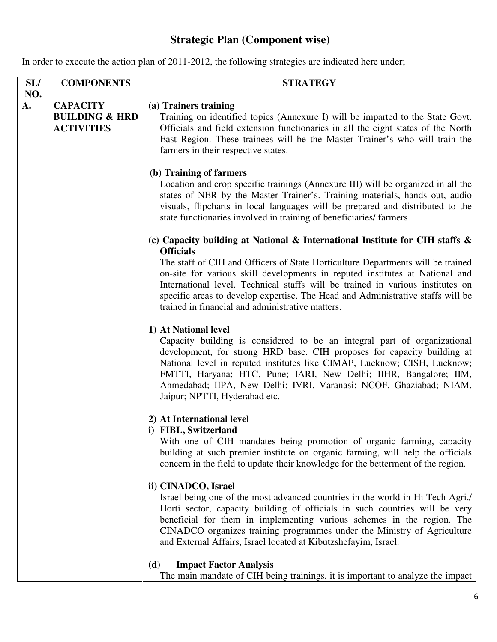## **Strategic Plan (Component wise)**

In order to execute the action plan of 2011-2012, the following strategies are indicated here under;

| SL/ | <b>COMPONENTS</b>                                                 | <b>STRATEGY</b>                                                                                                                                                                                                                                                                                                                                                                                                                     |
|-----|-------------------------------------------------------------------|-------------------------------------------------------------------------------------------------------------------------------------------------------------------------------------------------------------------------------------------------------------------------------------------------------------------------------------------------------------------------------------------------------------------------------------|
| NO. |                                                                   |                                                                                                                                                                                                                                                                                                                                                                                                                                     |
| A.  | <b>CAPACITY</b><br><b>BUILDING &amp; HRD</b><br><b>ACTIVITIES</b> | (a) Trainers training<br>Training on identified topics (Annexure I) will be imparted to the State Govt.<br>Officials and field extension functionaries in all the eight states of the North<br>East Region. These trainees will be the Master Trainer's who will train the<br>farmers in their respective states.                                                                                                                   |
|     |                                                                   | (b) Training of farmers<br>Location and crop specific trainings (Annexure III) will be organized in all the<br>states of NER by the Master Trainer's. Training materials, hands out, audio<br>visuals, flipcharts in local languages will be prepared and distributed to the<br>state functionaries involved in training of beneficiaries/farmers.                                                                                  |
|     |                                                                   | (c) Capacity building at National & International Institute for CIH staffs &                                                                                                                                                                                                                                                                                                                                                        |
|     |                                                                   | <b>Officials</b><br>The staff of CIH and Officers of State Horticulture Departments will be trained<br>on-site for various skill developments in reputed institutes at National and<br>International level. Technical staffs will be trained in various institutes on<br>specific areas to develop expertise. The Head and Administrative staffs will be<br>trained in financial and administrative matters.                        |
|     |                                                                   | 1) At National level<br>Capacity building is considered to be an integral part of organizational<br>development, for strong HRD base. CIH proposes for capacity building at<br>National level in reputed institutes like CIMAP, Lucknow; CISH, Lucknow;<br>FMTTI, Haryana; HTC, Pune; IARI, New Delhi; IIHR, Bangalore; IIM,<br>Ahmedabad; IIPA, New Delhi; IVRI, Varanasi; NCOF, Ghaziabad; NIAM,<br>Jaipur; NPTTI, Hyderabad etc. |
|     |                                                                   | 2) At International level<br>i) FIBL, Switzerland<br>With one of CIH mandates being promotion of organic farming, capacity<br>building at such premier institute on organic farming, will help the officials<br>concern in the field to update their knowledge for the betterment of the region.                                                                                                                                    |
|     |                                                                   | ii) CINADCO, Israel<br>Israel being one of the most advanced countries in the world in Hi Tech Agri./<br>Horti sector, capacity building of officials in such countries will be very<br>beneficial for them in implementing various schemes in the region. The<br>CINADCO organizes training programmes under the Ministry of Agriculture<br>and External Affairs, Israel located at Kibutzshefayim, Israel.                        |
|     |                                                                   | <b>Impact Factor Analysis</b><br>(d)<br>The main mandate of CIH being trainings, it is important to analyze the impact                                                                                                                                                                                                                                                                                                              |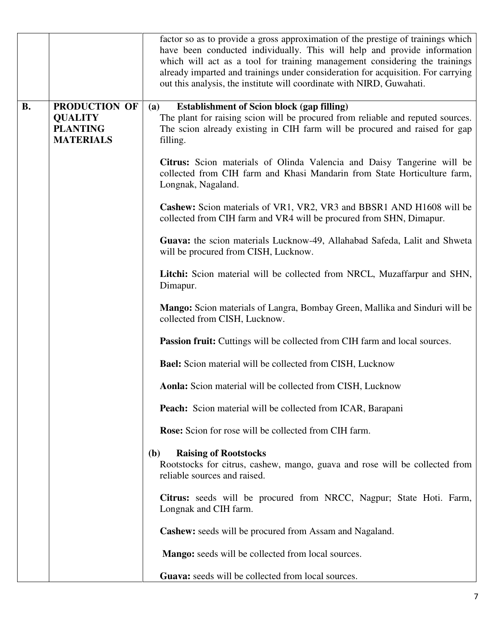|           |                                                                        | factor so as to provide a gross approximation of the prestige of trainings which<br>have been conducted individually. This will help and provide information<br>which will act as a tool for training management considering the trainings<br>already imparted and trainings under consideration for acquisition. For carrying<br>out this analysis, the institute will coordinate with NIRD, Guwahati. |
|-----------|------------------------------------------------------------------------|---------------------------------------------------------------------------------------------------------------------------------------------------------------------------------------------------------------------------------------------------------------------------------------------------------------------------------------------------------------------------------------------------------|
| <b>B.</b> | PRODUCTION OF<br><b>QUALITY</b><br><b>PLANTING</b><br><b>MATERIALS</b> | <b>Establishment of Scion block (gap filling)</b><br>(a)<br>The plant for raising scion will be procured from reliable and reputed sources.<br>The scion already existing in CIH farm will be procured and raised for gap<br>filling.                                                                                                                                                                   |
|           |                                                                        | Citrus: Scion materials of Olinda Valencia and Daisy Tangerine will be<br>collected from CIH farm and Khasi Mandarin from State Horticulture farm,<br>Longnak, Nagaland.                                                                                                                                                                                                                                |
|           |                                                                        | <b>Cashew:</b> Scion materials of VR1, VR2, VR3 and BBSR1 AND H1608 will be<br>collected from CIH farm and VR4 will be procured from SHN, Dimapur.                                                                                                                                                                                                                                                      |
|           |                                                                        | Guava: the scion materials Lucknow-49, Allahabad Safeda, Lalit and Shweta<br>will be procured from CISH, Lucknow.                                                                                                                                                                                                                                                                                       |
|           |                                                                        | Litchi: Scion material will be collected from NRCL, Muzaffarpur and SHN,<br>Dimapur.                                                                                                                                                                                                                                                                                                                    |
|           |                                                                        | Mango: Scion materials of Langra, Bombay Green, Mallika and Sinduri will be<br>collected from CISH, Lucknow.                                                                                                                                                                                                                                                                                            |
|           |                                                                        | <b>Passion fruit:</b> Cuttings will be collected from CIH farm and local sources.                                                                                                                                                                                                                                                                                                                       |
|           |                                                                        | <b>Bael:</b> Scion material will be collected from CISH, Lucknow                                                                                                                                                                                                                                                                                                                                        |
|           |                                                                        | Aonla: Scion material will be collected from CISH, Lucknow                                                                                                                                                                                                                                                                                                                                              |
|           |                                                                        | Peach: Scion material will be collected from ICAR, Barapani                                                                                                                                                                                                                                                                                                                                             |
|           |                                                                        | Rose: Scion for rose will be collected from CIH farm.                                                                                                                                                                                                                                                                                                                                                   |
|           |                                                                        | <b>Raising of Rootstocks</b><br><b>(b)</b><br>Rootstocks for citrus, cashew, mango, guava and rose will be collected from<br>reliable sources and raised.                                                                                                                                                                                                                                               |
|           |                                                                        | Citrus: seeds will be procured from NRCC, Nagpur; State Hoti. Farm,<br>Longnak and CIH farm.                                                                                                                                                                                                                                                                                                            |
|           |                                                                        | <b>Cashew:</b> seeds will be procured from Assam and Nagaland.                                                                                                                                                                                                                                                                                                                                          |
|           |                                                                        | Mango: seeds will be collected from local sources.                                                                                                                                                                                                                                                                                                                                                      |
|           |                                                                        | Guava: seeds will be collected from local sources.                                                                                                                                                                                                                                                                                                                                                      |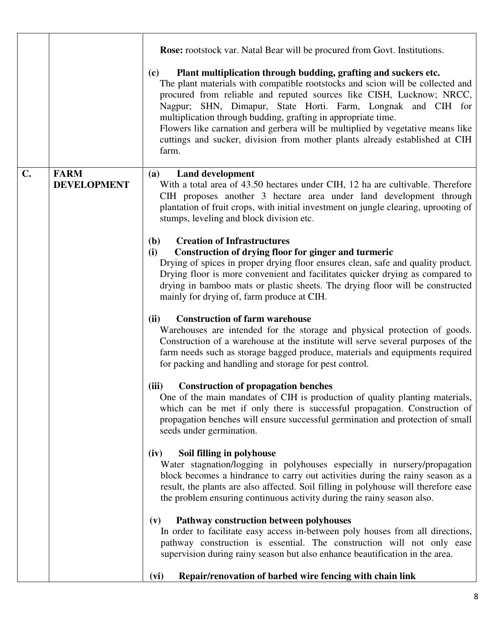|                |                                   | <b>Rose:</b> rootstock var. Natal Bear will be procured from Govt. Institutions.                                                                                                                                                                                                                                                                                                                                                                                                                                                            |
|----------------|-----------------------------------|---------------------------------------------------------------------------------------------------------------------------------------------------------------------------------------------------------------------------------------------------------------------------------------------------------------------------------------------------------------------------------------------------------------------------------------------------------------------------------------------------------------------------------------------|
|                |                                   | Plant multiplication through budding, grafting and suckers etc.<br>(c)<br>The plant materials with compatible rootstocks and scion will be collected and<br>procured from reliable and reputed sources like CISH, Lucknow; NRCC,<br>Nagpur; SHN, Dimapur, State Horti. Farm, Longnak and CIH for<br>multiplication through budding, grafting in appropriate time.<br>Flowers like carnation and gerbera will be multiplied by vegetative means like<br>cuttings and sucker, division from mother plants already established at CIH<br>farm. |
| $\mathbf{C}$ . | <b>FARM</b><br><b>DEVELOPMENT</b> | <b>Land development</b><br>(a)<br>With a total area of 43.50 hectares under CIH, 12 ha are cultivable. Therefore<br>CIH proposes another 3 hectare area under land development through<br>plantation of fruit crops, with initial investment on jungle clearing, uprooting of<br>stumps, leveling and block division etc.                                                                                                                                                                                                                   |
|                |                                   | <b>Creation of Infrastructures</b><br><b>(b)</b><br>Construction of drying floor for ginger and turmeric<br>(i)<br>Drying of spices in proper drying floor ensures clean, safe and quality product.<br>Drying floor is more convenient and facilitates quicker drying as compared to<br>drying in bamboo mats or plastic sheets. The drying floor will be constructed<br>mainly for drying of, farm produce at CIH.                                                                                                                         |
|                |                                   | (ii)<br><b>Construction of farm warehouse</b><br>Warehouses are intended for the storage and physical protection of goods.<br>Construction of a warehouse at the institute will serve several purposes of the<br>farm needs such as storage bagged produce, materials and equipments required<br>for packing and handling and storage for pest control.                                                                                                                                                                                     |
|                |                                   | <b>Construction of propagation benches</b><br>(iii)<br>One of the main mandates of CIH is production of quality planting materials,<br>which can be met if only there is successful propagation. Construction of<br>propagation benches will ensure successful germination and protection of small<br>seeds under germination.                                                                                                                                                                                                              |
|                |                                   | Soil filling in polyhouse<br>(iv)<br>Water stagnation/logging in polyhouses especially in nursery/propagation<br>block becomes a hindrance to carry out activities during the rainy season as a<br>result, the plants are also affected. Soil filling in polyhouse will therefore ease<br>the problem ensuring continuous activity during the rainy season also.                                                                                                                                                                            |
|                |                                   | Pathway construction between polyhouses<br>(v)<br>In order to facilitate easy access in-between poly houses from all directions,<br>pathway construction is essential. The construction will not only ease<br>supervision during rainy season but also enhance beautification in the area.                                                                                                                                                                                                                                                  |
|                |                                   | Repair/renovation of barbed wire fencing with chain link<br>(vi)                                                                                                                                                                                                                                                                                                                                                                                                                                                                            |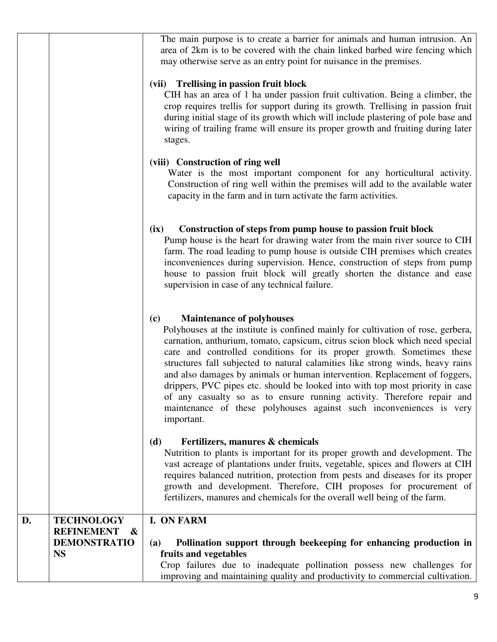|    | <b>REFINEMENT</b><br>$\boldsymbol{\alpha}$<br><b>DEMONSTRATIO</b><br><b>NS</b> | Pollination support through beekeeping for enhancing production in<br>(a)<br>fruits and vegetables<br>Crop failures due to inadequate pollination possess new challenges for<br>improving and maintaining quality and productivity to commercial cultivation.                                                                                                                                                                                                                                                                                                                                                                                                                                         |
|----|--------------------------------------------------------------------------------|-------------------------------------------------------------------------------------------------------------------------------------------------------------------------------------------------------------------------------------------------------------------------------------------------------------------------------------------------------------------------------------------------------------------------------------------------------------------------------------------------------------------------------------------------------------------------------------------------------------------------------------------------------------------------------------------------------|
| D. | <b>TECHNOLOGY</b>                                                              | Fertilizers, manures & chemicals<br>(d)<br>Nutrition to plants is important for its proper growth and development. The<br>vast acreage of plantations under fruits, vegetable, spices and flowers at CIH<br>requires balanced nutrition, protection from pests and diseases for its proper<br>growth and development. Therefore, CIH proposes for procurement of<br>fertilizers, manures and chemicals for the overall well being of the farm.<br>I. ON FARM                                                                                                                                                                                                                                          |
|    |                                                                                | <b>Maintenance of polyhouses</b><br>(c)<br>Polyhouses at the institute is confined mainly for cultivation of rose, gerbera,<br>carnation, anthurium, tomato, capsicum, citrus scion block which need special<br>care and controlled conditions for its proper growth. Sometimes these<br>structures fall subjected to natural calamities like strong winds, heavy rains<br>and also damages by animals or human intervention. Replacement of foggers,<br>drippers, PVC pipes etc. should be looked into with top most priority in case<br>of any casualty so as to ensure running activity. Therefore repair and<br>maintenance of these polyhouses against such inconveniences is very<br>important. |
|    |                                                                                | Construction of steps from pump house to passion fruit block<br>(ix)<br>Pump house is the heart for drawing water from the main river source to CIH<br>farm. The road leading to pump house is outside CIH premises which creates<br>inconveniences during supervision. Hence, construction of steps from pump<br>house to passion fruit block will greatly shorten the distance and ease<br>supervision in case of any technical failure.                                                                                                                                                                                                                                                            |
|    |                                                                                | (viii) Construction of ring well<br>Water is the most important component for any horticultural activity.<br>Construction of ring well within the premises will add to the available water<br>capacity in the farm and in turn activate the farm activities.                                                                                                                                                                                                                                                                                                                                                                                                                                          |
|    |                                                                                | (vii) Trellising in passion fruit block<br>CIH has an area of 1 ha under passion fruit cultivation. Being a climber, the<br>crop requires trellis for support during its growth. Trellising in passion fruit<br>during initial stage of its growth which will include plastering of pole base and<br>wiring of trailing frame will ensure its proper growth and fruiting during later<br>stages.                                                                                                                                                                                                                                                                                                      |
|    |                                                                                | The main purpose is to create a barrier for animals and human intrusion. An<br>area of 2km is to be covered with the chain linked barbed wire fencing which<br>may otherwise serve as an entry point for nuisance in the premises.                                                                                                                                                                                                                                                                                                                                                                                                                                                                    |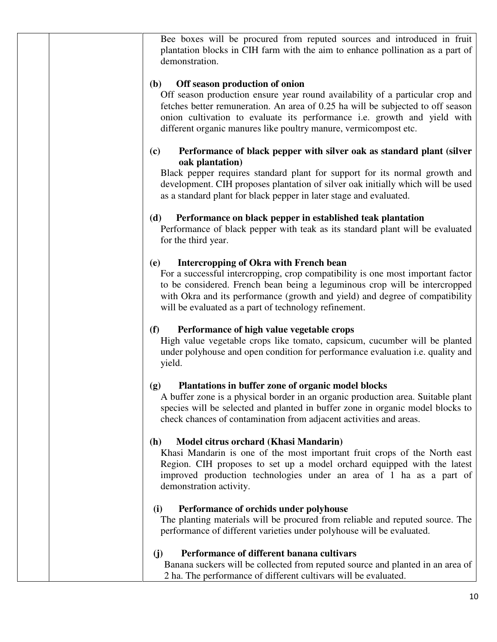Bee boxes will be procured from reputed sources and introduced in fruit plantation blocks in CIH farm with the aim to enhance pollination as a part of demonstration.

#### **(b) Off season production of onion**

Off season production ensure year round availability of a particular crop and fetches better remuneration. An area of 0.25 ha will be subjected to off season onion cultivation to evaluate its performance i.e. growth and yield with different organic manures like poultry manure, vermicompost etc.

#### **(c) Performance of black pepper with silver oak as standard plant (silver oak plantation)**

Black pepper requires standard plant for support for its normal growth and development. CIH proposes plantation of silver oak initially which will be used as a standard plant for black pepper in later stage and evaluated.

#### **(d) Performance on black pepper in established teak plantation**

Performance of black pepper with teak as its standard plant will be evaluated for the third year.

#### **(e) Intercropping of Okra with French bean**

For a successful intercropping, crop compatibility is one most important factor to be considered. French bean being a leguminous crop will be intercropped with Okra and its performance (growth and yield) and degree of compatibility will be evaluated as a part of technology refinement.

#### **(f) Performance of high value vegetable crops**

High value vegetable crops like tomato, capsicum, cucumber will be planted under polyhouse and open condition for performance evaluation i.e. quality and yield.

#### **(g) Plantations in buffer zone of organic model blocks**

A buffer zone is a physical border in an organic production area. Suitable plant species will be selected and planted in buffer zone in organic model blocks to check chances of contamination from adjacent activities and areas.

#### **(h) Model citrus orchard (Khasi Mandarin)**

Khasi Mandarin is one of the most important fruit crops of the North east Region. CIH proposes to set up a model orchard equipped with the latest improved production technologies under an area of 1 ha as a part of demonstration activity.

#### **(i) Performance of orchids under polyhouse**

The planting materials will be procured from reliable and reputed source. The performance of different varieties under polyhouse will be evaluated.

#### **(j) Performance of different banana cultivars**

Banana suckers will be collected from reputed source and planted in an area of 2 ha. The performance of different cultivars will be evaluated.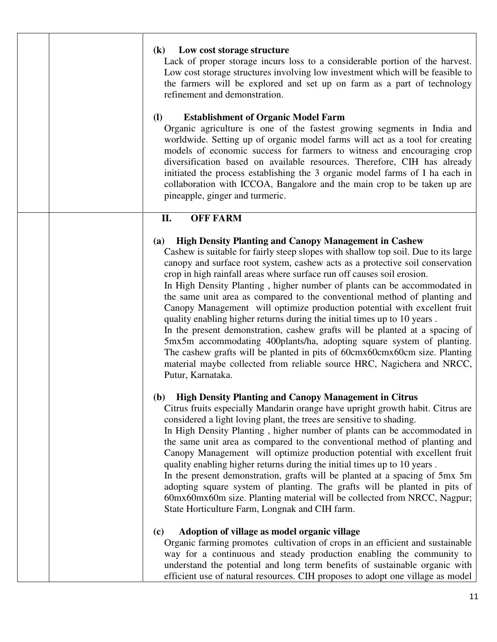| Low cost storage structure<br>$\mathbf{(k)}$<br>Lack of proper storage incurs loss to a considerable portion of the harvest.<br>Low cost storage structures involving low investment which will be feasible to<br>the farmers will be explored and set up on farm as a part of technology<br>refinement and demonstration.<br><b>(I)</b><br><b>Establishment of Organic Model Farm</b><br>Organic agriculture is one of the fastest growing segments in India and<br>worldwide. Setting up of organic model farms will act as a tool for creating<br>models of economic success for farmers to witness and encouraging crop<br>diversification based on available resources. Therefore, CIH has already<br>initiated the process establishing the 3 organic model farms of I ha each in<br>collaboration with ICCOA, Bangalore and the main crop to be taken up are<br>pineapple, ginger and turmeric.                                                                             |
|------------------------------------------------------------------------------------------------------------------------------------------------------------------------------------------------------------------------------------------------------------------------------------------------------------------------------------------------------------------------------------------------------------------------------------------------------------------------------------------------------------------------------------------------------------------------------------------------------------------------------------------------------------------------------------------------------------------------------------------------------------------------------------------------------------------------------------------------------------------------------------------------------------------------------------------------------------------------------------|
| <b>OFF FARM</b><br>II.                                                                                                                                                                                                                                                                                                                                                                                                                                                                                                                                                                                                                                                                                                                                                                                                                                                                                                                                                             |
| <b>High Density Planting and Canopy Management in Cashew</b><br><b>(a)</b><br>Cashew is suitable for fairly steep slopes with shallow top soil. Due to its large<br>canopy and surface root system, cashew acts as a protective soil conservation<br>crop in high rainfall areas where surface run off causes soil erosion.<br>In High Density Planting, higher number of plants can be accommodated in<br>the same unit area as compared to the conventional method of planting and<br>Canopy Management will optimize production potential with excellent fruit<br>quality enabling higher returns during the initial times up to 10 years.<br>In the present demonstration, cashew grafts will be planted at a spacing of<br>5mx5m accommodating 400plants/ha, adopting square system of planting.<br>The cashew grafts will be planted in pits of 60cmx60cmx60cm size. Planting<br>material maybe collected from reliable source HRC, Nagichera and NRCC,<br>Putur, Karnataka. |
| (b) High Density Planting and Canopy Management in Citrus<br>Citrus fruits especially Mandarin orange have upright growth habit. Citrus are<br>considered a light loving plant, the trees are sensitive to shading.<br>In High Density Planting, higher number of plants can be accommodated in<br>the same unit area as compared to the conventional method of planting and<br>Canopy Management will optimize production potential with excellent fruit<br>quality enabling higher returns during the initial times up to 10 years.<br>In the present demonstration, grafts will be planted at a spacing of 5mx 5m<br>adopting square system of planting. The grafts will be planted in pits of<br>60mx60mx60m size. Planting material will be collected from NRCC, Nagpur;<br>State Horticulture Farm, Longnak and CIH farm.                                                                                                                                                    |
| Adoption of village as model organic village<br>(c)<br>Organic farming promotes cultivation of crops in an efficient and sustainable<br>way for a continuous and steady production enabling the community to<br>understand the potential and long term benefits of sustainable organic with<br>efficient use of natural resources. CIH proposes to adopt one village as model                                                                                                                                                                                                                                                                                                                                                                                                                                                                                                                                                                                                      |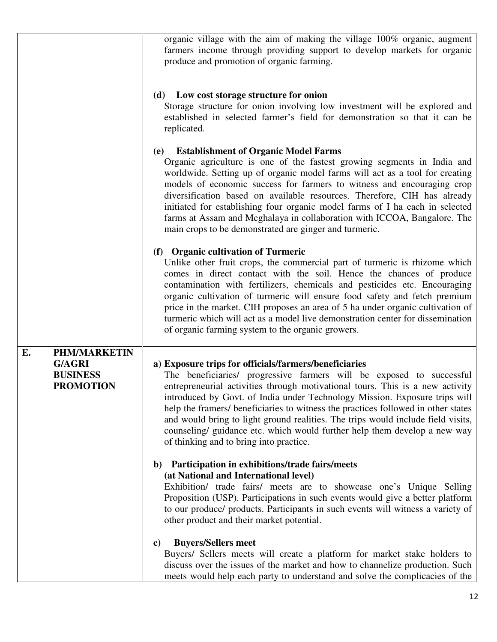|    |                                                                             | organic village with the aim of making the village 100% organic, augment<br>farmers income through providing support to develop markets for organic<br>produce and promotion of organic farming.                                                                                                                                                                                                                                                                                                                                                                                              |
|----|-----------------------------------------------------------------------------|-----------------------------------------------------------------------------------------------------------------------------------------------------------------------------------------------------------------------------------------------------------------------------------------------------------------------------------------------------------------------------------------------------------------------------------------------------------------------------------------------------------------------------------------------------------------------------------------------|
|    |                                                                             | (d) Low cost storage structure for onion<br>Storage structure for onion involving low investment will be explored and<br>established in selected farmer's field for demonstration so that it can be<br>replicated.                                                                                                                                                                                                                                                                                                                                                                            |
|    |                                                                             | (e) Establishment of Organic Model Farms<br>Organic agriculture is one of the fastest growing segments in India and<br>worldwide. Setting up of organic model farms will act as a tool for creating<br>models of economic success for farmers to witness and encouraging crop<br>diversification based on available resources. Therefore, CIH has already<br>initiated for establishing four organic model farms of I ha each in selected<br>farms at Assam and Meghalaya in collaboration with ICCOA, Bangalore. The<br>main crops to be demonstrated are ginger and turmeric.               |
|    |                                                                             | (f) Organic cultivation of Turmeric<br>Unlike other fruit crops, the commercial part of turmeric is rhizome which<br>comes in direct contact with the soil. Hence the chances of produce<br>contamination with fertilizers, chemicals and pesticides etc. Encouraging<br>organic cultivation of turmeric will ensure food safety and fetch premium<br>price in the market. CIH proposes an area of 5 ha under organic cultivation of<br>turmeric which will act as a model live demonstration center for dissemination<br>of organic farming system to the organic growers.                   |
| E. | <b>PHM/MARKETIN</b><br><b>G/AGRI</b><br><b>BUSINESS</b><br><b>PROMOTION</b> | a) Exposure trips for officials/farmers/beneficiaries<br>The beneficiaries/ progressive farmers will be exposed to successful<br>entrepreneurial activities through motivational tours. This is a new activity<br>introduced by Govt. of India under Technology Mission. Exposure trips will<br>help the framers/ beneficiaries to witness the practices followed in other states<br>and would bring to light ground realities. The trips would include field visits,<br>counseling/ guidance etc. which would further help them develop a new way<br>of thinking and to bring into practice. |
|    |                                                                             | b) Participation in exhibitions/trade fairs/meets<br>(at National and International level)<br>Exhibition/ trade fairs/ meets are to showcase one's Unique Selling<br>Proposition (USP). Participations in such events would give a better platform<br>to our produce/ products. Participants in such events will witness a variety of<br>other product and their market potential.                                                                                                                                                                                                            |
|    |                                                                             | <b>Buyers/Sellers meet</b><br>C)<br>Buyers/ Sellers meets will create a platform for market stake holders to<br>discuss over the issues of the market and how to channelize production. Such<br>meets would help each party to understand and solve the complicacies of the                                                                                                                                                                                                                                                                                                                   |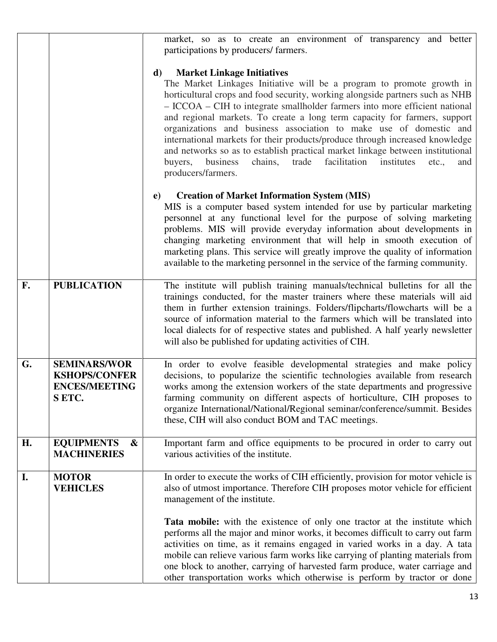|    |                                                                              | market, so as to create an environment of transparency and better<br>participations by producers/ farmers.                                                                                                                                                                                                                                                                                                                                                                                                                                                                                                                                                                                                     |
|----|------------------------------------------------------------------------------|----------------------------------------------------------------------------------------------------------------------------------------------------------------------------------------------------------------------------------------------------------------------------------------------------------------------------------------------------------------------------------------------------------------------------------------------------------------------------------------------------------------------------------------------------------------------------------------------------------------------------------------------------------------------------------------------------------------|
|    |                                                                              | <b>Market Linkage Initiatives</b><br>d)<br>The Market Linkages Initiative will be a program to promote growth in<br>horticultural crops and food security, working alongside partners such as NHB<br>- ICCOA – CIH to integrate smallholder farmers into more efficient national<br>and regional markets. To create a long term capacity for farmers, support<br>organizations and business association to make use of domestic and<br>international markets for their products/produce through increased knowledge<br>and networks so as to establish practical market linkage between institutional<br>chains, trade<br>facilitation institutes<br>buyers,<br>business<br>etc.,<br>and<br>producers/farmers. |
|    |                                                                              | <b>Creation of Market Information System (MIS)</b><br>e)<br>MIS is a computer based system intended for use by particular marketing<br>personnel at any functional level for the purpose of solving marketing<br>problems. MIS will provide everyday information about developments in<br>changing marketing environment that will help in smooth execution of<br>marketing plans. This service will greatly improve the quality of information<br>available to the marketing personnel in the service of the farming community.                                                                                                                                                                               |
| F. | <b>PUBLICATION</b>                                                           | The institute will publish training manuals/technical bulletins for all the<br>trainings conducted, for the master trainers where these materials will aid<br>them in further extension trainings. Folders/flipcharts/flowcharts will be a<br>source of information material to the farmers which will be translated into<br>local dialects for of respective states and published. A half yearly newsletter<br>will also be published for updating activities of CIH.                                                                                                                                                                                                                                         |
| G. | <b>SEMINARS/WOR</b><br><b>KSHOPS/CONFER</b><br><b>ENCES/MEETING</b><br>SETC. | In order to evolve feasible developmental strategies and make policy<br>decisions, to popularize the scientific technologies available from research<br>works among the extension workers of the state departments and progressive<br>farming community on different aspects of horticulture, CIH proposes to<br>organize International/National/Regional seminar/conference/summit. Besides<br>these, CIH will also conduct BOM and TAC meetings.                                                                                                                                                                                                                                                             |
| H. | <b>EQUIPMENTS</b><br>&<br><b>MACHINERIES</b>                                 | Important farm and office equipments to be procured in order to carry out<br>various activities of the institute.                                                                                                                                                                                                                                                                                                                                                                                                                                                                                                                                                                                              |
| I. | <b>MOTOR</b><br><b>VEHICLES</b>                                              | In order to execute the works of CIH efficiently, provision for motor vehicle is<br>also of utmost importance. Therefore CIH proposes motor vehicle for efficient<br>management of the institute.<br>Tata mobile: with the existence of only one tractor at the institute which<br>performs all the major and minor works, it becomes difficult to carry out farm<br>activities on time, as it remains engaged in varied works in a day. A tata<br>mobile can relieve various farm works like carrying of planting materials from                                                                                                                                                                              |
|    |                                                                              | one block to another, carrying of harvested farm produce, water carriage and<br>other transportation works which otherwise is perform by tractor or done                                                                                                                                                                                                                                                                                                                                                                                                                                                                                                                                                       |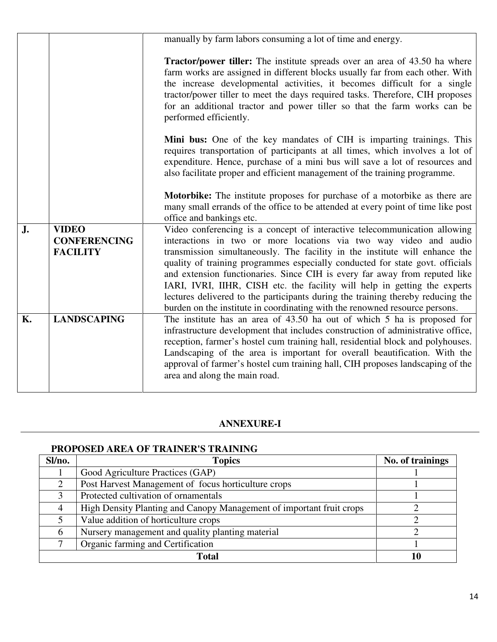|    |                                                        | manually by farm labors consuming a lot of time and energy.                                                                                                                                                                                                                                                                                                                                                                                                                                                                                                  |
|----|--------------------------------------------------------|--------------------------------------------------------------------------------------------------------------------------------------------------------------------------------------------------------------------------------------------------------------------------------------------------------------------------------------------------------------------------------------------------------------------------------------------------------------------------------------------------------------------------------------------------------------|
|    |                                                        |                                                                                                                                                                                                                                                                                                                                                                                                                                                                                                                                                              |
|    |                                                        | <b>Tractor/power tiller:</b> The institute spreads over an area of 43.50 ha where<br>farm works are assigned in different blocks usually far from each other. With<br>the increase developmental activities, it becomes difficult for a single<br>tractor/power tiller to meet the days required tasks. Therefore, CIH proposes<br>for an additional tractor and power tiller so that the farm works can be<br>performed efficiently.                                                                                                                        |
|    |                                                        | Mini bus: One of the key mandates of CIH is imparting trainings. This<br>requires transportation of participants at all times, which involves a lot of<br>expenditure. Hence, purchase of a mini bus will save a lot of resources and<br>also facilitate proper and efficient management of the training programme.                                                                                                                                                                                                                                          |
|    |                                                        | Motorbike: The institute proposes for purchase of a motorbike as there are<br>many small errands of the office to be attended at every point of time like post<br>office and bankings etc.                                                                                                                                                                                                                                                                                                                                                                   |
| J. | <b>VIDEO</b><br><b>CONFERENCING</b><br><b>FACILITY</b> | Video conferencing is a concept of interactive telecommunication allowing<br>interactions in two or more locations via two way video and audio<br>transmission simultaneously. The facility in the institute will enhance the<br>quality of training programmes especially conducted for state govt. officials<br>and extension functionaries. Since CIH is every far away from reputed like<br>IARI, IVRI, IIHR, CISH etc. the facility will help in getting the experts<br>lectures delivered to the participants during the training thereby reducing the |
| Κ. | <b>LANDSCAPING</b>                                     | burden on the institute in coordinating with the renowned resource persons.<br>The institute has an area of 43.50 ha out of which 5 ha is proposed for<br>infrastructure development that includes construction of administrative office,<br>reception, farmer's hostel cum training hall, residential block and polyhouses.<br>Landscaping of the area is important for overall beautification. With the<br>approval of farmer's hostel cum training hall, CIH proposes landscaping of the<br>area and along the main road.                                 |

#### **ANNEXURE-I**

#### **PROPOSED AREA OF TRAINER'S TRAINING**

| Sl/no.         | <b>Topics</b>                                                        | No. of trainings |
|----------------|----------------------------------------------------------------------|------------------|
|                | Good Agriculture Practices (GAP)                                     |                  |
|                | Post Harvest Management of focus horticulture crops                  |                  |
|                | Protected cultivation of ornamentals                                 |                  |
| $\overline{4}$ | High Density Planting and Canopy Management of important fruit crops |                  |
|                | Value addition of horticulture crops                                 |                  |
| 6              | Nursery management and quality planting material                     |                  |
|                | Organic farming and Certification                                    |                  |
|                |                                                                      |                  |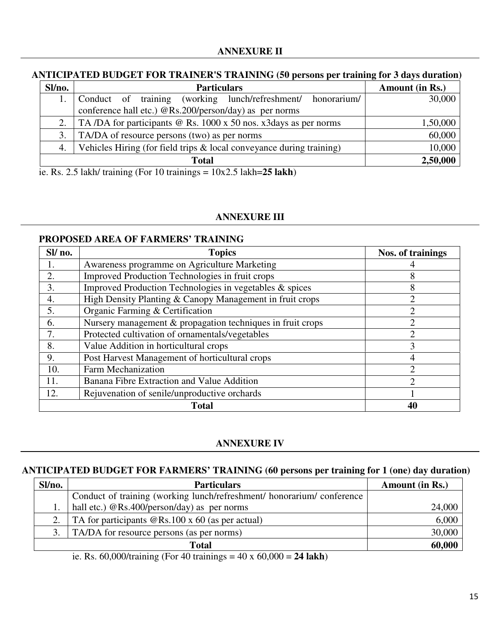#### **ANTICIPATED BUDGET FOR TRAINER'S TRAINING (50 persons per training for 3 days duration)**

| Sl/no. | <b>Particulars</b>                                                   | Amount (in Rs.) |
|--------|----------------------------------------------------------------------|-----------------|
|        | Conduct of training (working lunch/refreshment/<br>honorarium/       | 30,000          |
|        | conference hall etc.) @Rs.200/person/day) as per norms               |                 |
|        | TA/DA for participants @ Rs. 1000 x 50 nos. x3days as per norms      | 1,50,000        |
| 3.     | TA/DA of resource persons (two) as per norms                         | 60,000          |
| 4.     | Vehicles Hiring (for field trips & local conveyance during training) | 10,000          |
|        | <b>Total</b>                                                         | 2,50,000        |

ie. Rs. 2.5 lakh/ training (For 10 trainings = 10x2.5 lakh=**25 lakh**)

#### **ANNEXURE III**

#### **PROPOSED AREA OF FARMERS' TRAINING**

| Sl/no.       | <b>Topics</b>                                              | Nos. of trainings           |  |  |
|--------------|------------------------------------------------------------|-----------------------------|--|--|
|              | Awareness programme on Agriculture Marketing               |                             |  |  |
| 2.           | Improved Production Technologies in fruit crops            | 8                           |  |  |
| 3.           | Improved Production Technologies in vegetables & spices    | 8                           |  |  |
| 4.           | High Density Planting & Canopy Management in fruit crops   | $\overline{c}$              |  |  |
| 5.           | Organic Farming & Certification                            | າ                           |  |  |
| 6.           | Nursery management & propagation techniques in fruit crops | $\mathcal{D}_{\mathcal{A}}$ |  |  |
|              | Protected cultivation of ornamentals/vegetables            | $\mathcal{D}_{\mathcal{L}}$ |  |  |
| 8.           | Value Addition in horticultural crops                      | 3                           |  |  |
| 9.           | Post Harvest Management of horticultural crops             | 4                           |  |  |
| 10.          | <b>Farm Mechanization</b>                                  |                             |  |  |
| 11.          | Banana Fibre Extraction and Value Addition                 | $\mathcal{D}_{\mathcal{L}}$ |  |  |
| 12.          | Rejuvenation of senile/unproductive orchards               |                             |  |  |
| <b>Total</b> |                                                            |                             |  |  |

#### **ANNEXURE IV**

#### **ANTICIPATED BUDGET FOR FARMERS' TRAINING (60 persons per training for 1 (one) day duration)**

| Sl/no. | <b>Particulars</b>                                                     | Amount (in Rs.) |
|--------|------------------------------------------------------------------------|-----------------|
|        | Conduct of training (working lunch/refreshment/ honorarium/ conference |                 |
|        | hall etc.) @Rs.400/person/day) as per norms                            | 24,000          |
| 2.     | TA for participants $@Rs.100 \times 60$ (as per actual)                | 6,000           |
| 3.     | TA/DA for resource persons (as per norms)                              | 30,000          |
|        | Total                                                                  | 60,000          |

ie. Rs. 60,000/training (For 40 trainings = 40 x 60,000 = **24 lakh**)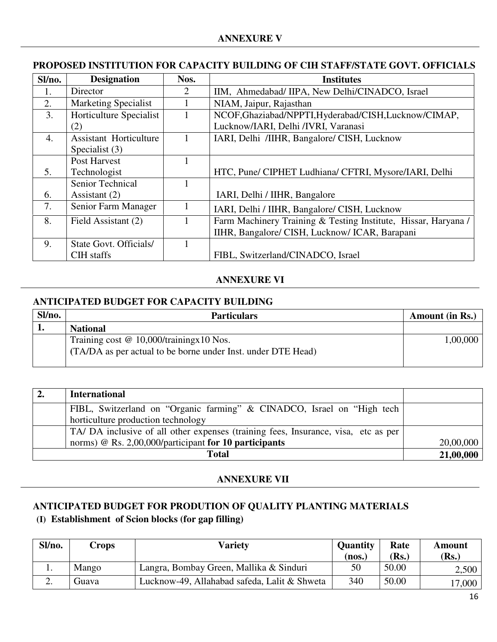#### **PROPOSED INSTITUTION FOR CAPACITY BUILDING OF CIH STAFF/STATE GOVT. OFFICIALS**

| Sl/no.           | <b>Designation</b>            | Nos.                  | <b>Institutes</b>                                              |
|------------------|-------------------------------|-----------------------|----------------------------------------------------------------|
|                  | Director                      | $\mathcal{D}_{\cdot}$ | IIM, Ahmedabad/ IIPA, New Delhi/CINADCO, Israel                |
| 2.               | <b>Marketing Specialist</b>   |                       | NIAM, Jaipur, Rajasthan                                        |
| 3.               | Horticulture Specialist       |                       | NCOF, Ghaziabad/NPPTI, Hyderabad/CISH, Lucknow/CIMAP,          |
|                  | (2)                           |                       | Lucknow/IARI, Delhi /IVRI, Varanasi                            |
| $\overline{4}$ . | <b>Assistant Horticulture</b> |                       | IARI, Delhi /IIHR, Bangalore/ CISH, Lucknow                    |
|                  | Specialist (3)                |                       |                                                                |
|                  | Post Harvest                  |                       |                                                                |
| 5.               | Technologist                  |                       | HTC, Pune/ CIPHET Ludhiana/ CFTRI, Mysore/IARI, Delhi          |
|                  | Senior Technical              |                       |                                                                |
| 6.               | Assistant (2)                 |                       | IARI, Delhi / IIHR, Bangalore                                  |
| 7.               | Senior Farm Manager           |                       | IARI, Delhi / IIHR, Bangalore/ CISH, Lucknow                   |
| 8.               | Field Assistant (2)           |                       | Farm Machinery Training & Testing Institute, Hissar, Haryana / |
|                  |                               |                       | IIHR, Bangalore/ CISH, Lucknow/ ICAR, Barapani                 |
| 9.               | State Govt. Officials/        |                       |                                                                |
|                  | CIH staffs                    |                       | FIBL, Switzerland/CINADCO, Israel                              |

#### **ANNEXURE VI**

#### **ANTICIPATED BUDGET FOR CAPACITY BUILDING**

| Sl/no. | <b>Particulars</b>                                           | Amount (in Rs.) |
|--------|--------------------------------------------------------------|-----------------|
| . .    | <b>National</b>                                              |                 |
|        | Training cost $@ 10,000$ /training x 10 Nos.                 | 1,00,000        |
|        | (TA/DA as per actual to be borne under Inst. under DTE Head) |                 |
|        |                                                              |                 |

| $\mathbf{2}$ | <b>International</b>                                                               |           |
|--------------|------------------------------------------------------------------------------------|-----------|
|              | FIBL, Switzerland on "Organic farming" & CINADCO, Israel on "High tech             |           |
|              | horticulture production technology                                                 |           |
|              | TA/ DA inclusive of all other expenses (training fees, Insurance, visa, etc as per |           |
|              | norms) @ Rs. 2,00,000/participant for 10 participants                              | 20,00,000 |
|              | Total                                                                              | 21,00,000 |

#### **ANNEXURE VII**

# **ANTICIPATED BUDGET FOR PRODUTION OF QUALITY PLANTING MATERIALS**

## **(I) Establishment of Scion blocks (for gap filling)**

| Sl/no. | Crops | Varietv                                      | <b>Quantity</b> | Rate  | Amount         |
|--------|-------|----------------------------------------------|-----------------|-------|----------------|
|        |       |                                              | (nos.)          | (Rs.) | ( <b>Rs.</b> ) |
|        | Mango | Langra, Bombay Green, Mallika & Sinduri      | 50              | 50.00 | 2,500          |
| ـ ـ    | Guava | Lucknow-49, Allahabad safeda, Lalit & Shweta | 340             | 50.00 | 17,000         |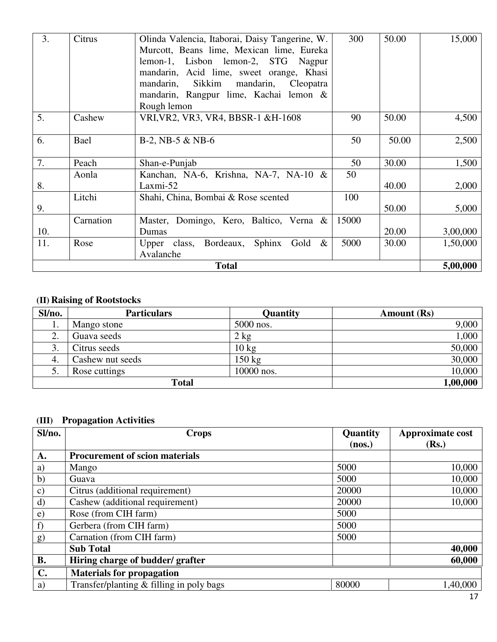| 3.                       | Citrus    | Olinda Valencia, Itaborai, Daisy Tangerine, W. | 300   | 50.00 | 15,000   |
|--------------------------|-----------|------------------------------------------------|-------|-------|----------|
|                          |           | Murcott, Beans lime, Mexican lime, Eureka      |       |       |          |
|                          |           | lemon-1, Lisbon lemon-2, STG Nagpur            |       |       |          |
|                          |           | mandarin, Acid lime, sweet orange, Khasi       |       |       |          |
|                          |           | Sikkim mandarin,<br>mandarin,<br>Cleopatra     |       |       |          |
|                          |           | mandarin, Rangpur lime, Kachai lemon &         |       |       |          |
|                          |           | Rough lemon                                    |       |       |          |
| 5.                       | Cashew    | VRI, VR2, VR3, VR4, BBSR-1 &H-1608             | 90    | 50.00 | 4,500    |
|                          |           |                                                |       |       |          |
| 6.                       | Bael      | $B-2$ , NB $-5 & NB-6$                         | 50    | 50.00 | 2,500    |
|                          |           |                                                |       |       |          |
| 7.                       | Peach     | Shan-e-Punjab                                  | 50    | 30.00 | 1,500    |
|                          | Aonla     | Kanchan, NA-6, Krishna, NA-7, NA-10 &          | 50    |       |          |
| 8.                       |           | $Laxmi-52$                                     |       | 40.00 | 2,000    |
|                          | Litchi    | Shahi, China, Bombai & Rose scented            | 100   |       |          |
| 9.                       |           |                                                |       | 50.00 | 5,000    |
|                          | Carnation | Master, Domingo, Kero, Baltico, Verna &        | 15000 |       |          |
| 10.                      |           | Dumas                                          |       | 20.00 | 3,00,000 |
| 11.                      | Rose      | Upper class, Bordeaux, Sphinx Gold $\&$        | 5000  | 30.00 | 1,50,000 |
|                          |           | Avalanche                                      |       |       |          |
| <b>Total</b><br>5,00,000 |           |                                                |       |       |          |

#### **(II) Raising of Rootstocks**

| Sl/no.  | <b>Particulars</b> | Quantity         | <b>Amount</b> (Rs) |
|---------|--------------------|------------------|--------------------|
| 1.      | Mango stone        | 5000 nos.        | 9,000              |
| ◠<br>٠. | Guava seeds        | $2$ kg           | 1,000              |
| 3.      | Citrus seeds       | $10 \text{ kg}$  | 50,000             |
| 4.      | Cashew nut seeds   | $150 \text{ kg}$ | 30,000             |
| J.      | Rose cuttings      | 10000 nos.       | 10,000             |
|         | <b>Total</b>       |                  | 1,00,000           |

## **(III) Propagation Activities**

| Sl/no.         | <b>Crops</b>                             | <b>Quantity</b> | Approximate cost |
|----------------|------------------------------------------|-----------------|------------------|
|                |                                          | (nos.)          | (Rs.)            |
| A.             | <b>Procurement of scion materials</b>    |                 |                  |
| a)             | Mango                                    | 5000            | 10,000           |
| b)             | Guava                                    | 5000            | 10,000           |
| $\mathbf{c})$  | Citrus (additional requirement)          | 20000           | 10,000           |
| $\rm d)$       | Cashew (additional requirement)          | 20000           | 10,000           |
| $\epsilon$ )   | Rose (from CIH farm)                     | 5000            |                  |
| f)             | Gerbera (from CIH farm)                  | 5000            |                  |
| g)             | Carnation (from CIH farm)                | 5000            |                  |
|                | <b>Sub Total</b>                         |                 | 40,000           |
| <b>B.</b>      | Hiring charge of budder/grafter          |                 | 60,000           |
| $\mathbf{C}$ . | <b>Materials for propagation</b>         |                 |                  |
| a)             | Transfer/planting & filling in poly bags | 80000           | 1,40,000         |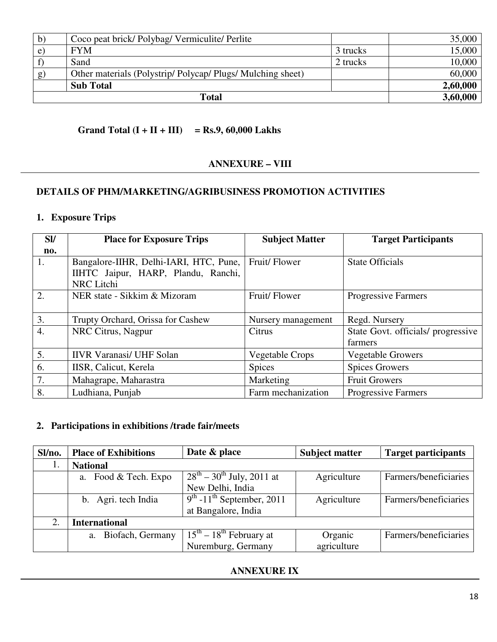| b) | Coco peat brick/Polybag/Vermiculite/Perlite              |          | 35,000   |
|----|----------------------------------------------------------|----------|----------|
| e) | <b>FYM</b>                                               | 3 trucks | 15,000   |
|    | Sand                                                     | 2 trucks | 10,000   |
| g) | Other materials (Polystrip/Polycap/Plugs/Mulching sheet) |          | 60,000   |
|    | <b>Sub Total</b>                                         |          | 2,60,000 |
|    | 3,60,000                                                 |          |          |

#### **Grand Total (I + II + III) = Rs.9, 60,000 Lakhs**

#### **ANNEXURE – VIII**

#### **DETAILS OF PHM/MARKETING/AGRIBUSINESS PROMOTION ACTIVITIES**

#### **1. Exposure Trips**

| <b>SV</b>        | <b>Place for Exposure Trips</b>        | <b>Subject Matter</b>  | <b>Target Participants</b>         |
|------------------|----------------------------------------|------------------------|------------------------------------|
| no.              |                                        |                        |                                    |
| 1.               | Bangalore-IIHR, Delhi-IARI, HTC, Pune, | Fruit/Flower           | <b>State Officials</b>             |
|                  | IIHTC Jaipur, HARP, Plandu, Ranchi,    |                        |                                    |
|                  | <b>NRC</b> Litchi                      |                        |                                    |
| 2.               | NER state - Sikkim & Mizoram           | Fruit/Flower           | Progressive Farmers                |
|                  |                                        |                        |                                    |
| 3.               | Trupty Orchard, Orissa for Cashew      | Nursery management     | Regd. Nursery                      |
| $\overline{4}$ . | NRC Citrus, Nagpur                     | Citrus                 | State Govt. officials/ progressive |
|                  |                                        |                        | farmers                            |
| 5.               | <b>IIVR Varanasi/ UHF Solan</b>        | <b>Vegetable Crops</b> | <b>Vegetable Growers</b>           |
| 6.               | IISR, Calicut, Kerela                  | <b>Spices</b>          | <b>Spices Growers</b>              |
| 7.               | Mahagrape, Maharastra                  | Marketing              | <b>Fruit Growers</b>               |
| 8.               | Ludhiana, Punjab                       | Farm mechanization     | <b>Progressive Farmers</b>         |

#### **2. Participations in exhibitions /trade fair/meets**

| Sl/no. | <b>Place of Exhibitions</b> | Date & place                            | <b>Subject matter</b> | <b>Target participants</b> |
|--------|-----------------------------|-----------------------------------------|-----------------------|----------------------------|
| 1.     | <b>National</b>             |                                         |                       |                            |
|        | a. Food & Tech. Expo        | $28^{th} - 30^{th}$ July, 2011 at       | Agriculture           | Farmers/beneficiaries      |
|        |                             | New Delhi, India                        |                       |                            |
|        | b. Agri. tech India         | $9th$ -11 <sup>th</sup> September, 2011 | Agriculture           | Farmers/beneficiaries      |
|        |                             | at Bangalore, India                     |                       |                            |
| 2.     | <b>International</b>        |                                         |                       |                            |
|        | a. Biofach, Germany         | $15th - 18th$ February at               | Organic               | Farmers/beneficiaries      |
|        |                             | Nuremburg, Germany                      | agriculture           |                            |

#### **ANNEXURE IX**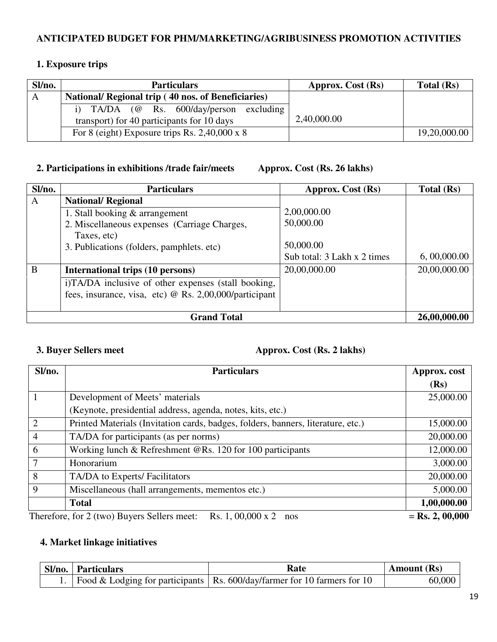#### **ANTICIPATED BUDGET FOR PHM/MARKETING/AGRIBUSINESS PROMOTION ACTIVITIES**

#### **1. Exposure trips**

| Sl/no. | <b>Particulars</b>                                 | Approx. Cost (Rs) | Total (Rs)   |
|--------|----------------------------------------------------|-------------------|--------------|
| A      | National/ Regional trip (40 nos. of Beneficiaries) |                   |              |
|        | $TA/DA$ (@ Rs. 600/day/person excluding            |                   |              |
|        | transport) for 40 participants for 10 days         | 2,40,000.00       |              |
|        | For 8 (eight) Exposure trips Rs. 2,40,000 x 8      |                   | 19,20,000.00 |

#### **2. Participations in exhibitions /trade fair/meets Approx. Cost (Rs. 26 lakhs)**

| Sl/no. | <b>Particulars</b>                                     | Approx. Cost (Rs)           | Total (Rs)   |
|--------|--------------------------------------------------------|-----------------------------|--------------|
| A      | <b>National/ Regional</b>                              |                             |              |
|        | 1. Stall booking & arrangement                         | 2,00,000.00                 |              |
|        | 2. Miscellaneous expenses (Carriage Charges,           | 50,000.00                   |              |
|        | Taxes, etc)                                            |                             |              |
|        | 3. Publications (folders, pamphlets. etc)              | 50,000.00                   |              |
|        |                                                        | Sub total: 3 Lakh x 2 times | 6,00,000.00  |
| B      | <b>International trips (10 persons)</b>                | 20,00,000.00                | 20,00,000.00 |
|        | i)TA/DA inclusive of other expenses (stall booking,    |                             |              |
|        | fees, insurance, visa, etc) @ Rs. 2,00,000/participant |                             |              |
|        |                                                        |                             |              |
|        | <b>Grand Total</b>                                     |                             | 26,00,000.00 |

#### **3. Buyer Sellers meet** Approx. Cost (Rs. 2 lakhs)

| Sl/no. | <b>Particulars</b>                                                               | Approx. cost      |
|--------|----------------------------------------------------------------------------------|-------------------|
|        |                                                                                  | (Rs)              |
|        | Development of Meets' materials                                                  | 25,000.00         |
|        | (Keynote, presidential address, agenda, notes, kits, etc.)                       |                   |
| 2      | Printed Materials (Invitation cards, badges, folders, banners, literature, etc.) | 15,000.00         |
| 4      | TA/DA for participants (as per norms)                                            | 20,000.00         |
| 6      | Working lunch & Refreshment @Rs. 120 for 100 participants                        | 12,000.00         |
| 7      | Honorarium                                                                       | 3,000.00          |
| 8      | TA/DA to Experts/ Facilitators                                                   | 20,000.00         |
| 9      | Miscellaneous (hall arrangements, mementos etc.)                                 | 5,000.00          |
|        | <b>Total</b>                                                                     | 1,00,000.00       |
|        | Rs. 1, 00,000 x 2<br>Therefore, for 2 (two) Buyers Sellers meet:<br>nos          | $=$ Rs. 2, 00,000 |

#### **4. Market linkage initiatives**

| <b>Sl/no.</b> Particulars | Rate                                                                            | <b>Amount</b> (Rs) |
|---------------------------|---------------------------------------------------------------------------------|--------------------|
|                           | 1.   Food & Lodging for participants   Rs. 600/day/farmer for 10 farmers for 10 | 60,000             |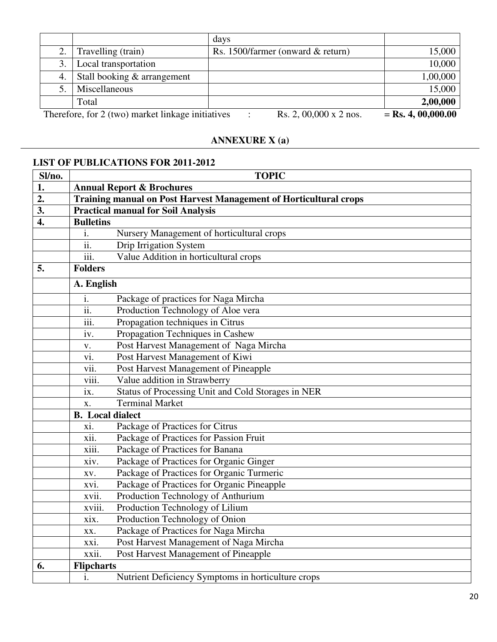|    |                                                   | days                              |                      |
|----|---------------------------------------------------|-----------------------------------|----------------------|
|    | Travelling (train)                                | Rs. 1500/farmer (onward & return) | 15,000               |
|    | Local transportation                              |                                   | 10,000               |
| 4. | Stall booking & arrangement                       |                                   | 1,00,000             |
|    | Miscellaneous                                     |                                   | 15,000               |
|    | Total                                             |                                   | 2,00,000             |
|    | Therefore, for 2 (two) market linkage initiatives | Rs. 2, 00,000 x 2 nos.<br>٠       | $=$ Rs. 4, 00,000.00 |

#### **ANNEXURE X (a)**

#### **LIST OF PUBLICATIONS FOR 2011-2012**

| Sl/no.           | <b>TOPIC</b>                                                             |                                                    |  |  |
|------------------|--------------------------------------------------------------------------|----------------------------------------------------|--|--|
| 1.               |                                                                          | <b>Annual Report &amp; Brochures</b>               |  |  |
| 2.               | <b>Training manual on Post Harvest Management of Horticultural crops</b> |                                                    |  |  |
| 3.               |                                                                          | <b>Practical manual for Soil Analysis</b>          |  |  |
| $\overline{4}$ . | <b>Bulletins</b>                                                         |                                                    |  |  |
|                  | i.                                                                       | Nursery Management of horticultural crops          |  |  |
|                  | ii.                                                                      | Drip Irrigation System                             |  |  |
|                  | iii.                                                                     | Value Addition in horticultural crops              |  |  |
| 5.               | <b>Folders</b>                                                           |                                                    |  |  |
|                  | A. English                                                               |                                                    |  |  |
|                  | i.                                                                       | Package of practices for Naga Mircha               |  |  |
|                  | $\overline{ii}$ .                                                        | Production Technology of Aloe vera                 |  |  |
|                  | iii.                                                                     | Propagation techniques in Citrus                   |  |  |
|                  | iv.                                                                      | Propagation Techniques in Cashew                   |  |  |
|                  | ${\bf V}$ .                                                              | Post Harvest Management of Naga Mircha             |  |  |
|                  | vi.                                                                      | Post Harvest Management of Kiwi                    |  |  |
|                  | vii.                                                                     | Post Harvest Management of Pineapple               |  |  |
|                  | viii.                                                                    | Value addition in Strawberry                       |  |  |
|                  | ix.                                                                      | Status of Processing Unit and Cold Storages in NER |  |  |
|                  | X.                                                                       | <b>Terminal Market</b>                             |  |  |
|                  | <b>B.</b> Local dialect                                                  |                                                    |  |  |
|                  | xi.                                                                      | Package of Practices for Citrus                    |  |  |
|                  | xii.                                                                     | Package of Practices for Passion Fruit             |  |  |
|                  | xiii.                                                                    | Package of Practices for Banana                    |  |  |
|                  | xiv.                                                                     | Package of Practices for Organic Ginger            |  |  |
|                  | XV.                                                                      | Package of Practices for Organic Turmeric          |  |  |
|                  | xvi.                                                                     | Package of Practices for Organic Pineapple         |  |  |
|                  | xvii.                                                                    | Production Technology of Anthurium                 |  |  |
|                  | xviii.                                                                   | Production Technology of Lilium                    |  |  |
|                  | xix.                                                                     | Production Technology of Onion                     |  |  |
|                  | XX.                                                                      | Package of Practices for Naga Mircha               |  |  |
|                  | xxi.                                                                     | Post Harvest Management of Naga Mircha             |  |  |
|                  | xxii.                                                                    | Post Harvest Management of Pineapple               |  |  |
| 6.               | <b>Flipcharts</b>                                                        |                                                    |  |  |
|                  | i.                                                                       | Nutrient Deficiency Symptoms in horticulture crops |  |  |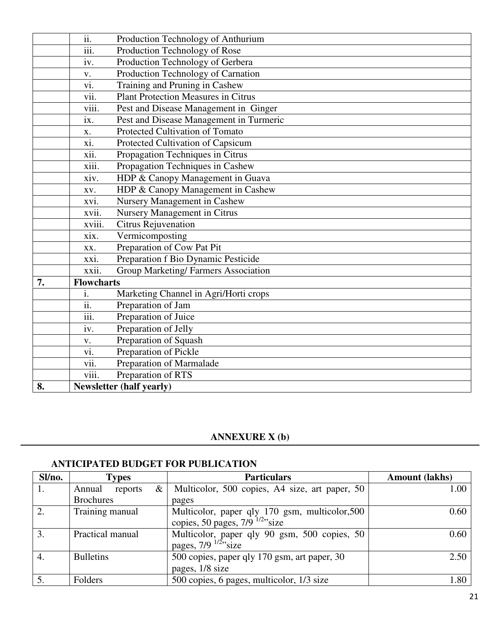|    | $\overline{ii}$ . | Production Technology of Anthurium         |
|----|-------------------|--------------------------------------------|
|    | iii.              | Production Technology of Rose              |
|    | iv.               | Production Technology of Gerbera           |
|    | V.                | Production Technology of Carnation         |
|    | vi.               | Training and Pruning in Cashew             |
|    | vii.              | <b>Plant Protection Measures in Citrus</b> |
|    | viii.             | Pest and Disease Management in Ginger      |
|    | ix.               | Pest and Disease Management in Turmeric    |
|    | X.                | Protected Cultivation of Tomato            |
|    | xi.               | Protected Cultivation of Capsicum          |
|    | xii.              | Propagation Techniques in Citrus           |
|    | xiii.             | Propagation Techniques in Cashew           |
|    | xiv.              | HDP & Canopy Management in Guava           |
|    | XV.               | HDP & Canopy Management in Cashew          |
|    | xvi.              | Nursery Management in Cashew               |
|    | xvii.             | Nursery Management in Citrus               |
|    | xviii.            | Citrus Rejuvenation                        |
|    | xix.              | Vermicomposting                            |
|    | XX.               | Preparation of Cow Pat Pit                 |
|    | xxi.              | Preparation f Bio Dynamic Pesticide        |
|    | xxii.             | Group Marketing/Farmers Association        |
| 7. | <b>Flowcharts</b> |                                            |
|    | i.                | Marketing Channel in Agri/Horti crops      |
|    | $\overline{ii}$ . | Preparation of Jam                         |
|    | iii.              | Preparation of Juice                       |
|    | iv.               | Preparation of Jelly                       |
|    | V.                | Preparation of Squash                      |
|    | vi.               | Preparation of Pickle                      |
|    | vii.              | Preparation of Marmalade                   |
|    | viii.             | Preparation of RTS                         |
| 8. |                   | <b>Newsletter (half yearly)</b>            |

#### **ANNEXURE X (b)**

#### **ANTICIPATED BUDGET FOR PUBLICATION**

| Sl/no. | <b>Types</b>                | <b>Particulars</b>                                                                             | <b>Amount (lakhs)</b> |
|--------|-----------------------------|------------------------------------------------------------------------------------------------|-----------------------|
| 1.     | $\&\,$<br>Annual<br>reports | Multicolor, 500 copies, A4 size, art paper, 50                                                 | 1.00                  |
|        | <b>Brochures</b>            | pages                                                                                          |                       |
| 2.     | Training manual             | Multicolor, paper qly 170 gsm, multicolor, 500<br>copies, 50 pages, $7/9$ <sup>1/2</sup> "size | 0.60                  |
| 3.     | Practical manual            | Multicolor, paper qly 90 gsm, 500 copies, 50<br>pages, $7/9$ $^{1/2}$ <sup>3</sup> size        | 0.60                  |
| 4.     | <b>Bulletins</b>            | 500 copies, paper qly 170 gsm, art paper, 30<br>pages, 1/8 size                                | 2.50                  |
| 5.     | Folders                     | 500 copies, 6 pages, multicolor, 1/3 size                                                      | 1.80                  |